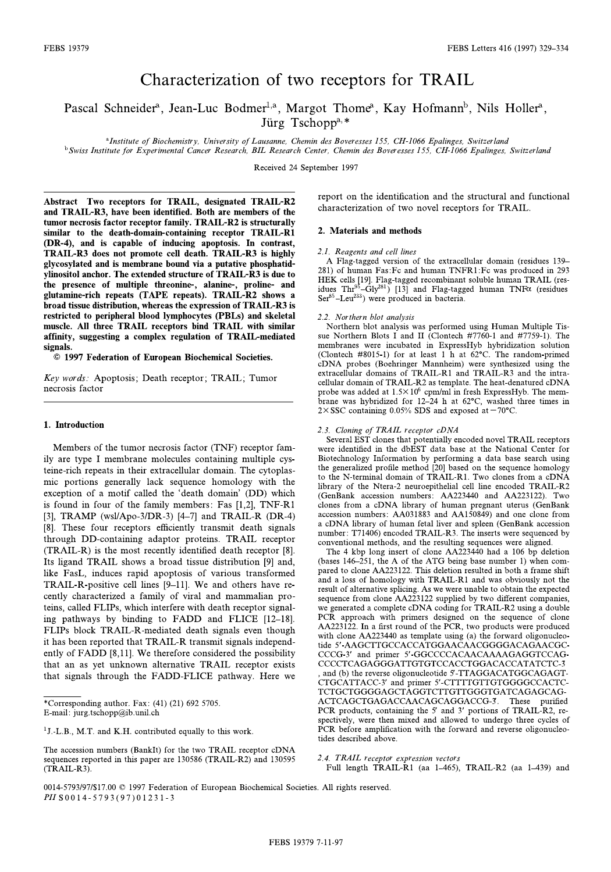# Characterization of two receptors for TRAIL

Pascal Schneider<sup>a</sup>, Jean-Luc Bodmer<sup>1,a</sup>, Margot Thome<sup>a</sup>, Kay Hofmann<sup>b</sup>, Nils Holler<sup>a</sup>,<br>Litro Tschopp<sup>a,\*</sup> Jürg Tschopp<sup>a,\*</sup>

<sup>a</sup>Institute of Biochemistry, University of Lausanne, Chemin des Boveresses 155, CH-1066 Epalinges, Switzerland

<sup>b</sup>Swiss Institute for Experimental Cancer Research, BIL Research Center, Chemin des Boveresses 155, CH-1066 Epalinges, Switzerland

Received 24 September 1997

Abstract Two receptors for TRAIL, designated TRAIL-R2 tumor necrosis factor receptor family. TRAIL-R2 is structurally similar to the death-domain-containing receptor TRAIL-R1 (DR-4), and is capable of inducing apoptosis. In contrast, TRAIL-R3 does not promote cell death. TRAIL-R3 is highly glycosylated and is membrane bound via a putative phosphatidylinositol anchor. The extended structure of TRAIL-R3 is due to the presence of multiple threonine-, alanine-, proline- and glutamine-rich repeats (TAPE repeats). TRAIL-R2 shows a broad tissue distribution, whereas the expression of TRAIL-R3 is restricted to peripheral blood lymphocytes (PBLs) and skeletal muscle. All three TRAIL receptors bind TRAIL with similar affinity, suggesting a complex regulation of TRAIL-mediated  $\frac{1}{2}$  and  $\frac{1}{2}$  and  $\frac{1}{2}$  and  $\frac{1}{2}$  mediated of  $\frac{1}{2}$  mediated of  $\frac{1}{2}$ 

 $\overline{6}$  19 z 1997 Federation of European Biochemical Societies.

key words reportion; The call receptor; Trailers, Tamera<br>necrosis factor

## 1. Introduction

Members of the tumor necrosis factor (TNF) receptor fam-<br>ily are type I membrane molecules containing multiple cysteine-rich repeats in their extracellular domain. The cytoplasmic portions generally lack sequence homology with the exception of a motif called the 'death domain' (DD) which<br>is found in four of the family members: Eas  $[1\ 2]$  TNE-R1 is found in four of the family members: Fas [1,2], TNF-R1 [3], TRAMP (wsl/Apo-3/DR-3) [4–7] and TRAIL-R (DR-4) [8]. These four receptors efficiently transmit death signals through DD-containing adaptor proteins. TRAIL receptor  $(TRAIL-R)$  is the most recently identified death receptor [8]. Its ligand TRAIL shows a broad tissue distribution [9] and, like FasL, induces rapid apoptosis of various transformed TRAIL-R-positive cell lines  $[9-11]$ . We and others have recently characterized a family of viral and mammalian proteins, called FLIPs, which interfere with death receptor signaling pathways by binding to FADD and FLICE [12-18]. FLIPs block TRAIL-R-mediated death signals even though it has been reported that TRAIL-R transmit signals independently of FADD  $[8,11]$ . We therefore considered the possibility that an as yet unknown alternative TRAIL receptor exists that signals through the FADD-FLICE pathway. Here we  $t_{\text{max}}$  signals through the FADD-FLICE pathway. Here we

<sup>1</sup>J.-L.B., M.T. and K.H. contributed equally to this work.

report on the identification and the structural and functional characterization of two novel receptors for TRAIL. characterization of two novel receptors for TRAIL.

### 2. Materials and methods

2.1. Reagents and cell lines<br>A Flag-tagged version of the extracellular domain (residues 139–  $281$ ) of human Fas: Fc and human TNFR1: Fc was produced in  $293$  $281$ ) of human Faster and human Faster Faster in  $\frac{1}{2}$  of  $\frac{1}{2}$  (respectively)  $\frac{1}{2}$  (respectively)  $\frac{1}{2}$  (respectively)  $\frac{1}{2}$  (respectively)  $\frac{1}{2}$  (respectively)  $\frac{1}{2}$  (respectively)  $\frac{1}{2}$  $\frac{1}{10}$ . Thr $^{95}$ -Gly<sup>281</sup>) [13] and Flag-tagged human TNF $\alpha$  (residues) idues Thr<sup>-3</sup>-Gly<sup>282</sup>) [13] and Flag-tagged human TNF (residues<br>Ser<sup>85</sup>–Leu<sup>233</sup>) were produced in bacteria  $\text{Set}^{\text{max}}$ ) were produced in bacteria.

2.2. Northern blot analysis<br>Northern blot analysis was performed using Human Multiple Tissue Northern Blots I and II (Clontech  $#7760-1$  and  $#7759-1$ ). The membranes were incubated in ExpressHyb hybridization solution (Clontech #8015-1) for at least 1 h at  $62^{\circ}$ C. The random-primed cDNA probes (Boehringer Mannheim) were synthesized using the extracellular domains of TRAIL-R1 and TRAIL-R3 and the intra- $\frac{1}{2}$  cellular domain of TRAIL-R2 as template. The heat-denatured cDNA probe was added at  $1.5 \times 10^6$  cpm/ml in fresh ExpressHyb. The memprobe was added at 1.5  $\times$  10° cpm/ml in fresh ExpressHyb. The mem-<br>brane was hybridized for 12–24 h at 62°C washed three times in  $\frac{1}{2} \times \text{SSC}$  containing 0.05% SDS and exposed at  $-70^{\circ}$ C

2.3. Cloning of TRAIL receptor cDNA<br>Several EST clones that potentially encoded novel TR<br>were identified in the dbEST data base at the Nation<br>Biotechnology Information by performing a data bas<br>the generalized profile metho 2.3. Cloning of TRAIL receptor cDNA<br>Several EST clones that potentially encoded novel TRAIL receptors were identified in the dbEST data base at the National Center for Biotechnology Information by performing a data base search using  $\frac{1}{2}$  be generalized profile method [20] based on the sequence homology to the N-terminal domain of  $TR$  AII -R<sub>1</sub> Two clones from a cDNA library of the Ntera-2 neuroepithelial cell line encoded TRAIL-R2  $\overline{(\text{GenRank} \space accession \space numbers)}$   $\overline{(\text{A}223440 \space and \space A3223122)}$  Two clones from a cDNA library of human pregnant uterus (GenBank accession numbers: AA031883 and AA150849) and one clone from a cDNA library of human fetal liver and spleen (GenBank accession number: T71406) encoded TRAIL-R3. The inserts were sequenced by conventional methods, and the resulting sequences were aligned.

The 4 kbp long insert of clone  $AA223440$  had a 106 bp deletion (bases 146-251, the A of the ATG being base number 1) when compared to clone AA223122. This deletion resulted in both a frame shift and a loss of homology with TRAIL-R1 and was obviously not the result of alternative splicing. As we were unable to obtain the expected sequence from clone AA223122 supplied by two different companies, we generated a complete cDNA coding for TRAIL-R2 using a double PCR approach with primers designed on the sequence of clone  $AA223122$ . In a first round of the PCR, two products were produced with clone AA223440 as template using (a) the forward oligonucleotide 5'-AAGCTTGCCACCATGGAACAACGGGGACAGAACGC-CCCG-3' and primer 5'-GGCCCCACAACAAAAGAGGTCCAG-CCCCTCAGAGGGATTGTGTCCACCTGGACACCATATCTC-3 , and (b) the reverse oligonucleotide 5-TTAGGACATGGCAGAGT-CTGCATTACC-3' and primer 5'-CTTTTGTTGTGGGGCCACTC-TCTGCTGGGGAGCTAGGTCTTGTTGGGTGATCAGAGCAG-ACTCAGCTGAGACCAACAGCAGGACCG-3. These purified PCR products, containing the  $5'$  and  $3'$  portions of TRAIL-R2, respectively, were then mixed and allowed to undergo three cycles of PCR before amplification with the forward and reverse oligonucleo $p^2$  before a straight the formal reverse of  $p$  and reverse original reverse original reverse original reverse original reverse original reverse original reverse original reverse original reverse original reverse origin

 $\text{Full length}$   $\text{TRAH-R1}$  (as  $1-465$ ) Full length TRAIL-R1 (aa 1^465), TRAIL-R2 (aa 1^439) and

 $\sum_{i=1}^{n}$  Fax:  $\sum_{i=1}^{n}$  and  $\sum_{i=1}^{n}$  fax:  $\sum_{i=1}^{n}$   $\sum_{i=1}^{n}$   $\sum_{i=1}^{n}$   $\sum_{i=1}^{n}$  $\mathcal{L}$  = mail:  $\mathcal{L}$  jurg.tschoppedia.chem

The accession numbers (BankIt) for the two TRAIL receptor cDNA sequences reported in this paper are 130586 (TRAIL-R2) and 130595  $S = \frac{1}{2}$  (TRAIL-R3) (TRAIL-R3).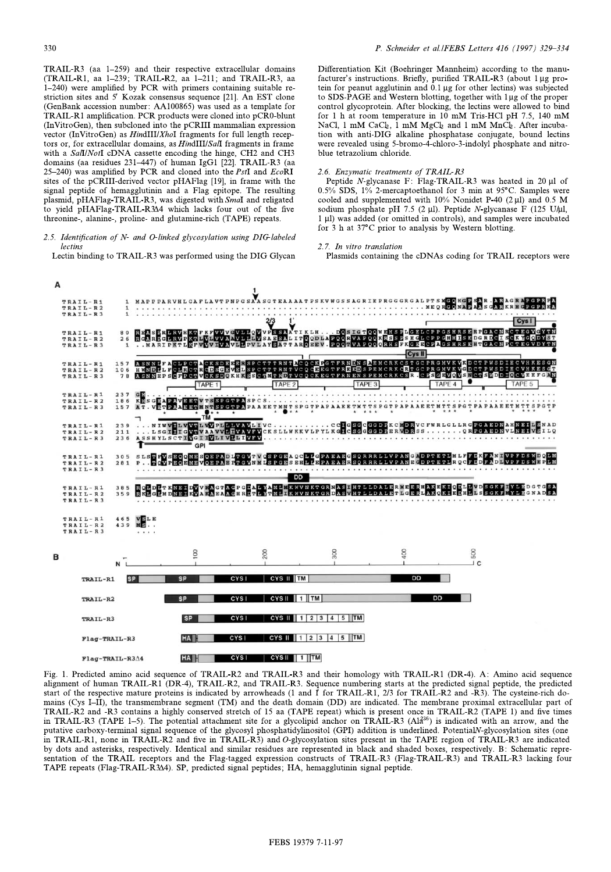TRAIL-R3 (aa 1-259) and their respective extracellular domains (TRAIL-R1, aa 1-239; TRAIL-R2, aa 1-211; and TRAIL-R3, aa  $(1-240)$  were amplified by PCR with primers containing suitable restriction sites and 5' Kozak consensus sequence [21]. An EST clone (GenBank accession number: AA100865) was used as a template for TRAIL-R1 amplification. PCR products were cloned into pCR0-blunt (InVitroGen), then subcloned into the pCRIII mammalian expression vector (InVitroGen) as  $H$ indIII/ $X$ hoI fragments for full length receptors or, for extracellular domains, as *HindIII/SalI* fragments in frame with a SalI/NotI cDNA cassette encoding the hinge, CH2 and CH3 domains (aa residues 231-447) of human IgG1 [22]. TRAIL-R3 (aa 25–240) was amplified by PCR and cloned into the  $PstI$  and  $EcoRI$ sites of the pCRIII-derived vector pHAFlag [19], in frame with the signal peptide of hemagglutinin and a Flag epitope. The resulting plasmid, pHAFlag-TRAIL-R3, was digested with Smal and religated to yield pHAFlag-TRAIL-R344 which lacks four out of the five threonine-alanine- proline- and glutamine-rich (TAPE) repeats  $\theta$  , and an and glutamine-rich (TAPE) repeats.

 $\frac{3}{2}$ . Iecting

etin h  $\sigma$  and  $\sigma$  facturer's instructions. Briefly, purified TRAIL-R3 (about  $1 \mu$ g pro-<br>tein for peanut agglutinin and 0.1 wg for other lectins) was subjected tein for peanut agglutinin and  $0.1 \mu$ g for other lectins) was subjected to SDS-PAGE and Western blotting, together with  $1 \mu$ g of the proper control glycoprotein. After blocking, the lectins were allowed to bind for 1 h at room temperature in  $10$  mM Tris-HCl pH 7.5, 140 mM NaCl, 1 mM CaCl<sub>2</sub>, 1 mM MgCl<sub>2</sub> and 1 mM MnCl<sub>2</sub>. After incubation with anti-DIG alkaline phosphatase conjugate, bound lectins were revealed using 5-bromo-4-chloro-3-indolyl phosphate and nitroblue tetrazolium chloride.

2.6. Enzymatic treatments of TRAIL-R3<br>Peptide N-glycanase F: Flag-TRAIL-R3 was heated in 20 µl of  $0.5\%$  SDS,  $1\%$  2-mercaptoethanol for 3 min at 95°C. Samples were cooled and supplemented with  $10\%$  Nonidet P-40 (2 µl) and 0.5 M sodium phosphate pH 7.5 (2  $\mu$ l). Peptide N-glycanase F (125 U/ $\mu$ l, 1 µl) was added (or omitted in controls), and samples were incubated  $\frac{1}{2}$  h at 37 $\degree$ C prior to analysis by Western blotting  $\mathbf{f}$  at 37 $\mathbf{f}$  at 37 $\mathbf{f}$  prior to analysis by Western block by  $\mathbf{g}$ .

Plasmids containing  $\beta$  and containing the coding for  $\beta$ 



Fig. 1. Predicted amino acid sequence of TRAIL-R2 and TRAIL-R3 and their homology with TRAIL-R1 (DR-4). A: Amino acid sequence start of the respective mature proteins is indicated by arrowheads (1 and  $\hat{I}$  for TRAIL-R1, 2/3 for TRAIL-R2 and -R3). The cysteine-rich domains (Cys I-II), the transmembrane segment (TM) and the death domain (DD) are indicated. The membrane proximal extracellular part of TRAIL-R2 and -R3 contains a highly conserved stretch of 15 aa (TAPE repeat) which is present once in TRAIL-R2 (TAPE 1) and five times in TRAIL-R3 (TAPE 1–5). The potential attachment site for a glycolipid anchor on TRAIL-R3 (Al $\hat{a}^{36}$ ) is indicated with an arrow, and the putative carboxy-terminal signal sequence of the glycosyl phosphatidylinositol (GPI) addition is underlined. PotentialN-glycosylation sites (one in TRAIL-R1, none in TRAIL-R2 and five in TRAIL-R3) and  $O$ -glycosylation sites present in the TAPE region of TRAIL-R3 are indicated by dots and asterisks, respectively. Identical and similar residues are represented in black and shaded boxes, respectively. B: Schematic representation of the TRAIL receptors and the Flag-tagged expression constructs of TRAIL-R3 (Flag-TRAIL-R3) and TRAIL-R3 lacking four sentation of the TRAIL receptors and the Flag-tagged expression of the TRAIL-R3 (Flag-TRAIL-R3  $\frac{1}{2}$  and TRAIL-R3 (Flag-TRAIL-R3  $\frac{1}{2}$ ) and Trail-R3 lacking four four-receptors of Trail-R3  $\frac{1}{2}$  and Trail-R3 i TAPE repeats (Flag-TRAIL-R3v4). SP, predicted signal peptides; HA, hemagglutinin signal peptide.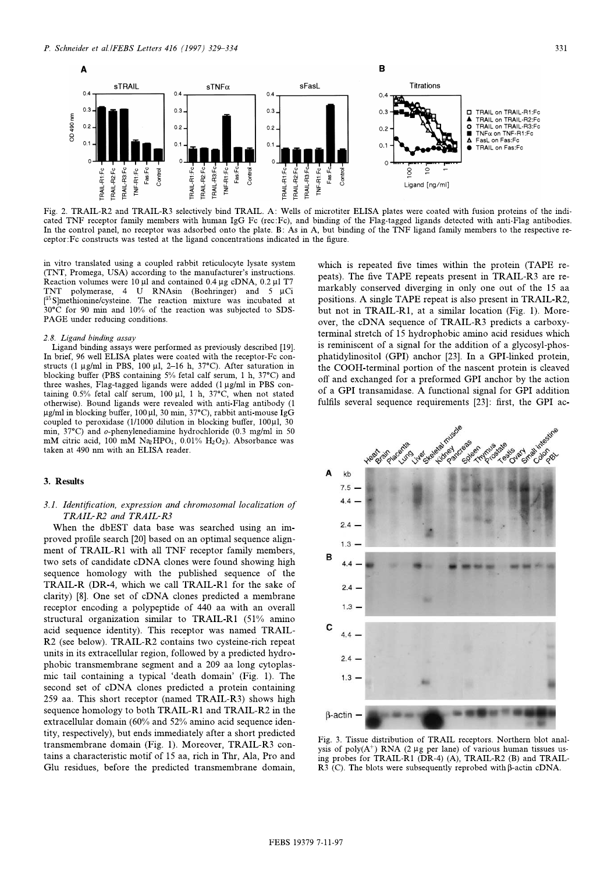

Fig. 2. TRAIL-R2 and TRAIL-R3 selectively bind TRAIL. A: Wells of microtiter ELISA plates were coated with fusion proteins of the indi-<br>cated TNF receptor family members with human IgG Fc (rec:Fc), and binding of the Flag-In the control panel, no receptor was adsorbed onto the plate. B: As in A, but binding of the TNF ligand family members to the respective re- $\Gamma$  centor Equation parallel panel, no receptor the planel, no receptor  $\Gamma$  is a control of the planel,  $\Gamma$  in  $\Gamma$  is the respective receptor:Fc constructs was tested at the ligand concentrations indicated in the ¢gure.

(TNT, Promega, USA) according to the manufacturer's instructions.<br>Reaction volumes were 10 ul and contained 0.4 us cDNA 0.2 ul T7 Reaction volumes were  $10 \mu l$  and contained 0.4  $\mu$ g cDNA, 0.2  $\mu$ l T7 TNT polymerase, 4 U RNAsin (Boehringer) and 5  $\mu$ Ci  $[35$ S]methionine/cysteine. The reaction mixture was incubated at Sumethionine/cysteme. The reaction inixture was incubated at  $30^{\circ}$ C for 90 min and  $10\%$  of the reaction was subjected to SDS-<sup>21</sup> PAGE under reducing conditions PAGE under reducing conditions.

2.8. Ligand binding assay<br>Ligand binding assays were performed as previously described [19]. In brief, 96 well ELISA plates were coated with the receptor-Fc constructs (1  $\mu$ g/ml in PBS, 100  $\mu$ l, 2-16 h, 37°C). After saturation in blocking buffer (PBS containing  $5\%$  fetal calf serum, 1 h,  $37\textdegree C$ ) and three washes, Flag-tagged ligands were added (1 µg/ml in PBS containing 0.5% fetal calf serum, 100  $\mu$ l, 1 h, 37°C, when not stated otherwise). Bound ligands were revealed with anti-Flag antibody (1 µg/ml in blocking buffer, 100µl, 30 min, 37°C), rabbit anti-mouse IgG coupled to peroxidase (1/1000 dilution in blocking buffer,  $100 \mu$ l, 30 min,  $37^{\circ}$ C) and o-phenylenediamine hydrochloride (0.3 mg/ml in 50 mM citric acid, 100 mM Na<sub>2</sub>HPO<sub>4</sub>, 0.01% H<sub>2</sub>O<sub>2</sub>). Absorbance was mM citric acid, 100 mM Na2HPO4, 0.01% H2O2). Absorbance was taken at 490 nm with an ELISA reader.

# 3.1. Identification, expression and chromosomal localization of TRAIL-R2 and TRAIL-R3

When the dbEST data base was searched using an improved profile search [20] based on an optimal sequence alignment of TRAIL-R1 with all TNF receptor family members, two sets of candidate cDNA clones were found showing high sequence homology with the published sequence of the TRAIL-R (DR-4, which we call TRAIL-R1 for the sake of clarity)  $[8]$ . One set of cDNA clones predicted a membrane receptor encoding a polypeptide of 440 aa with an overall structural organization similar to TRAIL-R1 (51% amino acid sequence identity). This receptor was named TRAIL-R2 (see below). TRAIL-R2 contains two cysteine-rich repeat units in its extracellular region, followed by a predicted hydrophobic transmembrane segment and a 209 aa long cytoplasphobic trail containing a typical 'death domain' (Fig. 1). The second set of  $cDNA$  clones predicted a protein containing second set of cDNA clones predicted a protein containing 259 aa. This short receptor (named TRAIL-R3) shows high sequence homology to both TRAIL-R1 and TRAIL-R2 in the extracellular domain (60% and 52% amino acid sequence identity, respectively), but ends immediately after a short predicted transmembrane domain (Fig. 1). Moreover, TRAIL-R3 contains a characteristic motif of 15 aa, rich in Thr, Ala, Pro and the a characteristic motif of 15 an, rich in Thr, Ala, Pro and Glu residues, before the predicted transmembrane domain,

which is repeated five times within the protein (TAPE repeats). The five TAPE repeats present in TRAIL-R3 are remarkably conserved diverging in only one out of the 15 aa positions. A single TAPE repeat is also present in TRAIL-R2, but not in TRAIL-R1, at a similar location (Fig. 1). Moreover, the cDNA sequence of TRAIL-R3 predicts a carboxyterminal stretch of 15 hydrophobic amino acid residues which is reminiscent of a signal for the addition of a glycosyl-phosphatidylinositol (GPI) anchor [23]. In a GPI-linked protein, the COOH-terminal portion of the nascent protein is cleaved off and exchanged for a preformed GPI anchor by the action of a GPI transamidase. A functional signal for GPI addition fulfile several sequence requirements  $[23]$ <sup>t</sup> first the GPI acfultation several sequence requirements  $[23]$ :  $[23]$ :  $[23]$ 



Fig. 3. Tissue distribution of TRAIL receptors. Northern blot anal-<br>ysis of poly( $A^+$ ) RNA (2 µg per lane) of various human tissues using probes for TRAIL-R1 (DR-4) (A), TRAIL-R2 (B) and TRAIL- $\overline{R3}$  (C). The blots were subsequently reprobed with  $\beta$ -actin cDNA.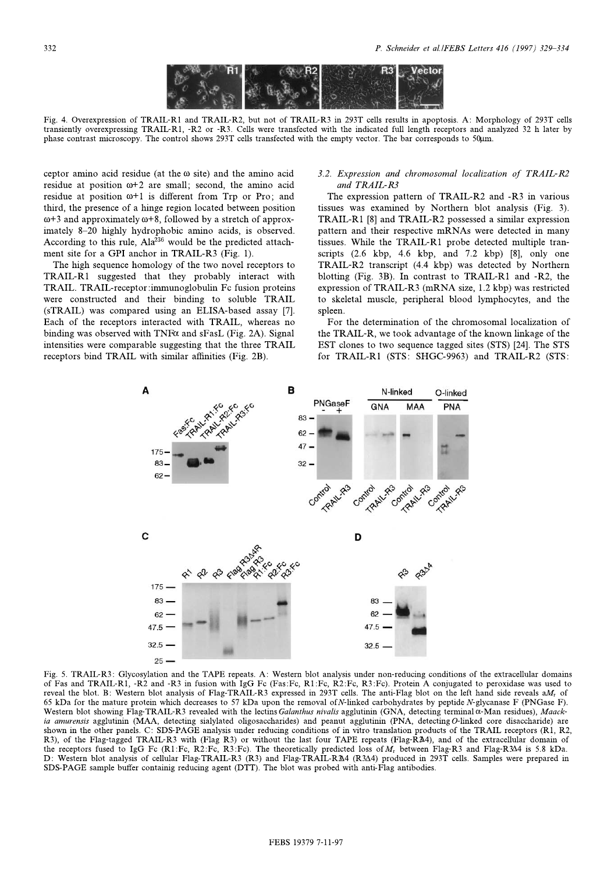

Fig. 4. Overexpression of TRAIL-R1 and TRAIL-R2, but not of TRAIL-R3 in 293T cells results in apoptosis. A: Morphology of 293T cells these contrast microscopy. The control shows 293T cells transfected with the empty vector. The bar corresponds to 50 km phase contrast microscopy. The control shows 293T cells transfected with the empty vector. The bar corresponds to 50Wm.

ceptor amino acid residue (at the  $\omega$  site) and the amino acid residue at position  $\omega+2$  are small; second, the amino acid residue at position  $\omega+1$  is different from Trp or Pro; and third, the presence of a hinge region located between position  $\omega$ +3 and approximately  $\omega$ +8, followed by a stretch of approximately 8-20 highly hydrophobic amino acids, is observed. According to this rule,  $A1a^{236}$  would be the predicted attachment site for a GPI anchor in TRAIL-R3 (Fig. 1).

The high sequence homology of the two novel receptors to TRAIL-R1 suggested that they probably interact with TRAIL. TRAIL-receptor:immunoglobulin Fc fusion proteins were constructed and their binding to soluble TRAIL (sTRAIL) was compared using an ELISA-based assay [7]. Each of the receptors interacted with TRAIL, whereas no binding was observed with TNF $\alpha$  and sFasL (Fig. 2A). Signal intensities were comparable suggesting that the three TRAIL measure were comparable suggesting that the three Temmers.  $r = \frac{1}{2}$ 

# 3.2. Expression and chromosomal localization of TRAIL-R2

The expression pattern of TRAIL-R2 and -R3 in various tissues was examined by Northern blot analysis (Fig. 3). TRAIL-R1 [8] and TRAIL-R2 possessed a similar expression pattern and their respective mRNAs were detected in many tissues. While the TRAIL-R1 probe detected multiple transcripts  $(2.6 \text{ kbp}, 4.6 \text{ kbp}, \text{and } 7.2 \text{ kbp})$  [8], only one TRAIL-R2 transcript (4.4 kbp) was detected by Northern blotting (Fig. 3B). In contrast to TRAIL-R1 and  $-R2$ , the expression of TRAIL-R3 (mRNA size, 1.2 kbp) was restricted expression of Trailies of Girls and size, the map) was restricted<br>to skeletal muscle, negipheral blood lymphocytes, and the  $t_1$  muscle muscle, peripheral blood lymphocytes, and the theory

spleen.<br>For the determination of the chromosomal localization of the TRAIL-R, we took advantage of the known linkage of the EST clones to two sequence tagged sites (STS) [24]. The STS  $\frac{1}{2}$  contract the sequence tagged sites (STS)  $\frac{1}{2}$ . The STS contract of STS contract  $\frac{1}{2}$ . for TRAIL-R1 (STS: SHGC-9963) and TRAIL-R2 (STS:



Fig. 5. TRAIL-R3: Glycosylation and the TAPE repeats. A: Western blot analysis under non-reducing conditions of the extracellular domains of Fas and TRAIL-R1, -R2 and -R3 in fusion with IgG Fc (Fas:Fc, R1:Fc, R2:Fc, R3:Fc) reveal the blot. B: Western blot analysis of Flag-TRAIL-R3 expressed in 293T cells. The anti-Flag blot on the left hand side reveals  $aM_r$  of 65 kDa for the mature protein which decreases to 57 kDa upon the removal of N-linked carbohydrates by peptide N-glycanase F (PNGase F). Western blot showing Flag-TRAIL-R3 revealed with the lectins Galanthus nivalis agglutinin (GNA, detecting terminal  $\alpha$ -Man residues), Maackia amurensis agglutinin (MAA, detecting sialylated oligosaccharides) and peanut agglutinin (PNA, detecting O-linked core disaccharide) are shown in the other panels. C: SDS-PAGE analysis under reducing conditions of in vitro translation products of the TRAIL receptors (R1, R2, R3), of the Flag-tagged TRAIL-R3 with (Flag R3) or without the last four TAPE repeats (Flag-R $\mathbb{A}$ 4), and of the extracellular domain of the receptors fused to IgG Fc (R1:Fc, R2:Fc, R3:Fc). The theoretically predicted loss of  $M_r$  between Flag-R3 and Flag-R344 is 5.8 kDa. D: Western blot analysis of cellular Flag-TRAIL-R3 (R3) and Flag-TRAIL-R34 (R3 $\Delta$ 4) produced in 293T cells. Samples were prepared in SDS-PAGE sample buffer containing educing agent (DTT). The blot was probed with anti-Flag-antibodies SDS-PAGE sample bu¡er containig reducing agent (DTT). The blot was probed with anti-Flag antibodies.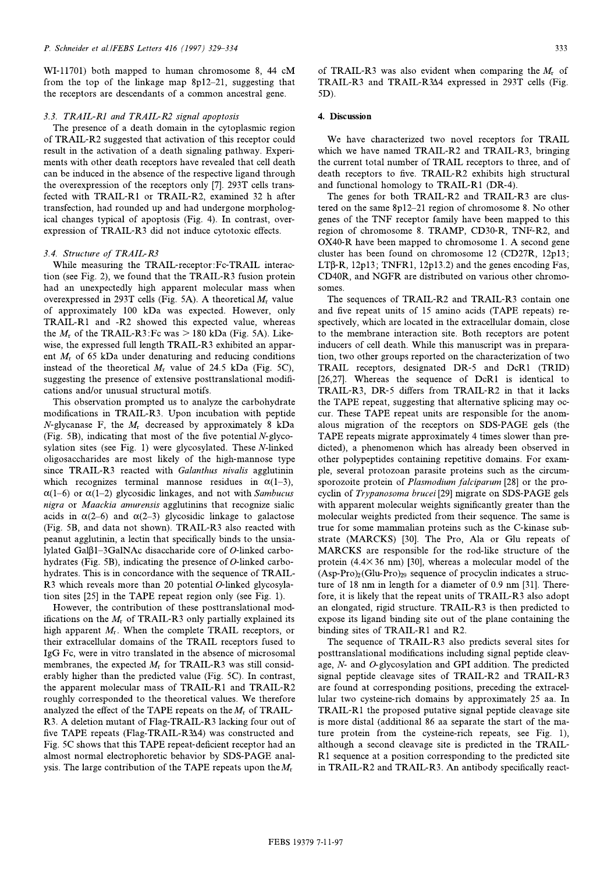WI-11701) both mapped to human chromosome 8, 44 cM from the top of the linkage map  $8p12-21$ , suggesting that the receptors are descendants of a common ancestral gene.  $t_{\rm r}$  are descending of a common ancestral generation  $g$ 

# 3.3. TRAIL-R1 and TRAIL-R2 signal apoptosis<br>The presence of a death domain in the cytoplasmic region

of TRAIL-R2 suggested that activation of this receptor could result in the activation of a death signaling pathway. Experiments with other death receptors have revealed that cell death can be induced in the absence of the respective ligand through the overexpression of the receptors only [7]. 293T cells transfected with TRAIL-R1 or TRAIL-R2, examined 32 h after transfection, had rounded up and had undergone morphological changes typical of apoptosis (Fig. 4). In contrast, overexpression of TRAIL-R3 did not induce cytotoxic effects.  $\mathbf{r}$ 

3.4. Structure of TRAIL-R3<br>While measuring the TRAIL-receptor:Fc-TRAIL interaction (see Fig. 2), we found that the TRAIL-R3 fusion protein had an unexpectedly high apparent molecular mass when overexpressed in 293T cells (Fig. 5A). A theoretical  $M_r$  value of approximately 100 kDa was expected. However, only TRAIL-R1 and -R2 showed this expected value, whereas the  $M_r$  of the TRAIL-R3: Fc was  $> 180$  kDa (Fig. 5A). Likewise, the expressed full length TRAIL-R3 exhibited an apparent  $M_r$  of 65 kDa under denaturing and reducing conditions instead of the theoretical  $M_r$  value of 24.5 kDa (Fig. 5C), suggesting the presence of extensive posttranslational modifications and/or unusual structural motifs.

This observation prompted us to analyze the carbohydrate modifications in TRAIL-R3. Upon incubation with peptide N-glycanase F, the  $M_r$  decreased by approximately 8 kDa (Fig. 5B), indicating that most of the five potential  $N$ -glycosylation sites (see Fig. 1) were glycosylated. These  $N$ -linked oligosaccharides are most likely of the high-mannose type since TRAIL-R3 reacted with Galanthus nivalis agglutinin which recognizes terminal mannose residues in  $\alpha(1-3)$ ,  $\alpha(1-6)$  or  $\alpha(1-2)$  glycosidic linkages, and not with Sambucus nigra or Maackia amurensis agglutinins that recognize sialic acids in  $\alpha(2-6)$  and  $\alpha(2-3)$  glycosidic linkage to galactose (Fig. 5B, and data not shown). TRAIL-R3 also reacted with peanut agglutinin, a lectin that specifically binds to the unsialylated Gal $\beta$ 1-3GalNAc disaccharide core of *O*-linked carbohydrates (Fig. 5B), indicating the presence of  $O$ -linked carbohydrates. This is in concordance with the sequence of TRAIL-R3 which reveals more than 20 potential  $O$ -linked glycosylation sites  $[25]$  in the TAPE repeat region only (see Fig. 1).

However, the contribution of these posttranslational modifications on the  $M_r$  of TRAIL-R3 only partially explained its high apparent  $M_r$ . When the complete TRAIL receptors, or their extracellular domains of the TRAIL receptors fused to IgG Fc, were in vitro translated in the absence of microsomal membranes, the expected  $M_r$  for TRAIL-R3 was still considerably higher than the predicted value (Fig. 5C). In contrast, the apparent molecular mass of TRAIL-R1 and TRAIL-R2 roughly corresponded to the theoretical values. We therefore analyzed the effect of the TAPE repeats on the  $M_r$  of TRAIL-R3. A deletion mutant of Flag-TRAIL-R3 lacking four out of five TAPE repeats (Flag-TRAIL-R344) was constructed and Fig. 5C shows that this TAPE repeat-deficient receptor had an almost normal electrophoretic behavior by SDS-PAGE anal- $\frac{1}{2}$  and  $\frac{1}{2}$  are contribution of the  $\pi$  APE repeats upon the M  $y$ sis. The large contribution of the TAPE repeats upon  $\frac{1}{N}$ 

TRAIL-R3 and TRAIL-R3 $\Delta$ Also expressed in 203T cells (Fig. TRAIL-R3 and TRAIL-R3V4 expressed in 203T cells (Fig.  $(5)$ 5D).

### $\overline{a}$  ,  $\overline{a}$  ,  $\overline{a}$  ,  $\overline{a}$  ,  $\overline{a}$

We have characterized two novel receptors for TRAIL which we have named TRAIL-R2 and TRAIL-R3, bringing the current total number of TRAIL receptors to three, and of death receptors to five. TRAIL-R2 exhibits high structural and functional homology to TRAIL-R1 (DR-4).

The genes for both TRAIL-R2 and TRAIL-R3 are clustered on the same  $8p12-21$  region of chromosome 8. No other genes of the TNF receptor family have been mapped to this region of chromosome 8. TRAMP, CD30-R, TNF-R2, and  $OX40-R$  have been mapped to chromosome 1. A second gene cluster has been found on chromosome  $12$  (CD27R, 12p13;  $LT\beta$ -R, 12p13; TNFR1, 12p13.2) and the genes encoding Fas,  $T_{\text{F}}$ ,  $T_{\text{F}}$ ,  $T_{\text{F}}$ ,  $T_{\text{F}}$ ,  $T_{\text{F}}$ ,  $T_{\text{F}}$ ,  $T_{\text{F}}$ ,  $T_{\text{F}}$ ,  $T_{\text{F}}$ ,  $T_{\text{F}}$ ,  $T_{\text{F}}$ ,  $T_{\text{F}}$ ,  $T_{\text{F}}$ ,  $T_{\text{F}}$ ,  $T_{\text{F}}$ ,  $T_{\text{F}}$ ,  $T_{\text{F}}$ ,  $T_{\text{F}}$ ,  $T_{\text{F}}$ ,  $T_{\text{F}}$ , CD40R, and NGFR are distributed on various other characteristics.

somes.<br>The sequences of TRAIL-R2 and TRAIL-R3 contain one and five repeat units of 15 amino acids (TAPE repeats) respectively, which are located in the extracellular domain, close to the membrane interaction site. Both receptors are potent inducers of cell death. While this manuscript was in preparation, two other groups reported on the characterization of two TRAIL receptors, designated DR-5 and DcR1 (TRID) [26,27]. Whereas the sequence of  $DcR1$  is identical to TRAIL-R3, DR-5 differs from TRAIL-R2 in that it lacks the TAPE repeat, suggesting that alternative splicing may occur. These TAPE repeat units are responsible for the anomalous migration of the receptors on SDS-PAGE gels (the TAPE repeats migrate approximately 4 times slower than predicted), a phenomenon which has already been observed in other polypeptides containing repetitive domains. For example, several protozoan parasite proteins such as the circumsporozoite protein of Plasmodium falciparum [28] or the procyclin of Trypanosoma brucei [29] migrate on SDS-PAGE gels with apparent molecular weights significantly greater than the molecular weights predicted from their sequence. The same is true for some mammalian proteins such as the C-kinase substrate (MARCKS) [30]. The Pro, Ala or Glu repeats of MARCKS are responsible for the rod-like structure of the protein  $(4.4 \times 36 \text{ nm})$  [30], whereas a molecular model of the  $(Asp-Pro)_2$ (Glu-Pro)<sub>29</sub> sequence of procyclin indicates a structure of 18 nm in length for a diameter of 0.9 nm  $[31]$ . Therefore, it is likely that the repeat units of TRAIL-R3 also adopt an elongated, rigid structure. TRAIL-R3 is then predicted to expose its ligand binding site out of the plane containing the binding sites of TRAIL-R1 and R2.

The sequence of TRAIL-R3 also predicts several sites for posttranslational modifications including signal peptide cleavage,  $N$ - and  $O$ -glycosylation and GPI addition. The predicted signal peptide cleavage sites of TRAIL-R2 and TRAIL-R3 are found at corresponding positions, preceding the extracellular two cysteine-rich domains by approximately 25 aa. In TRAIL-R1 the proposed putative signal peptide cleavage site is more distal (additional 86 aa separate the start of the mature protein from the cysteine-rich repeats, see Fig. 1), although a second cleavage site is predicted in the TRAIL-R1 sequence at a position corresponding to the predicted site  $R_{1}$  sequence at a position corresponding to the predicted site  $\cdots$  Trail-R2 and Trail-R3. And  $\cdots$  and  $\cdots$  and  $\cdots$